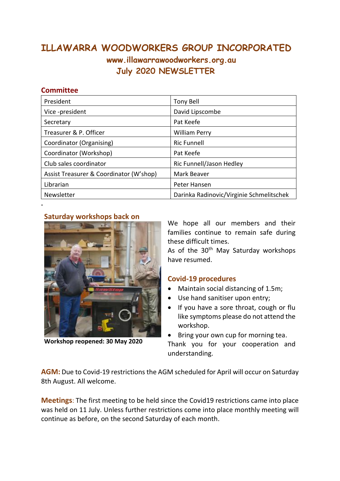## **ILLAWARRA WOODWORKERS GROUP INCORPORATED www.illawarrawoodworkers.org.au July 2020 NEWSLETTER**

## **Committee**

**.**

| President                               | <b>Tony Bell</b>                         |
|-----------------------------------------|------------------------------------------|
| Vice-president                          | David Lipscombe                          |
| Secretary                               | Pat Keefe                                |
| Treasurer & P. Officer                  | <b>William Perry</b>                     |
| Coordinator (Organising)                | <b>Ric Funnell</b>                       |
| Coordinator (Workshop)                  | Pat Keefe                                |
| Club sales coordinator                  | Ric Funnell/Jason Hedley                 |
| Assist Treasurer & Coordinator (W'shop) | Mark Beaver                              |
| Librarian                               | Peter Hansen                             |
| Newsletter                              | Darinka Radinovic/Virginie Schmelitschek |

## **Saturday workshops back on**



**Workshop reopened: 30 May 2020**

We hope all our members and their families continue to remain safe during these difficult times.

As of the 30<sup>th</sup> May Saturday workshops have resumed.

## **Covid-19 procedures**

- Maintain social distancing of 1.5m;
- Use hand sanitiser upon entry;
- If you have a sore throat, cough or flu like symptoms please do not attend the workshop.

Bring your own cup for morning tea.

Thank you for your cooperation and understanding.

**AGM:** Due to Covid-19 restrictions the AGM scheduled for April will occur on Saturday 8th August. All welcome.

**Meetings**: The first meeting to be held since the Covid19 restrictions came into place was held on 11 July. Unless further restrictions come into place monthly meeting will continue as before, on the second Saturday of each month.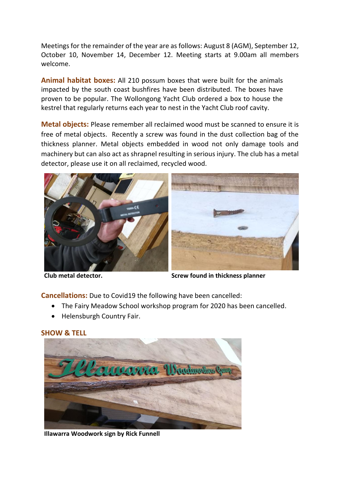Meetings for the remainder of the year are as follows: August 8 (AGM), September 12, October 10, November 14, December 12. Meeting starts at 9.00am all members welcome.

**Animal habitat boxes:** All 210 possum boxes that were built for the animals impacted by the south coast bushfires have been distributed. The boxes have proven to be popular. The Wollongong Yacht Club ordered a box to house the kestrel that regularly returns each year to nest in the Yacht Club roof cavity.

**Metal objects:** Please remember all reclaimed wood must be scanned to ensure it is free of metal objects. Recently a screw was found in the dust collection bag of the thickness planner. Metal objects embedded in wood not only damage tools and machinery but can also act as shrapnel resulting in serious injury. The club has a metal detector, please use it on all reclaimed, recycled wood.





**Club metal detector. Screw found in thickness planner**

**Cancellations:** Due to Covid19 the following have been cancelled:

- The Fairy Meadow School workshop program for 2020 has been cancelled.
- Helensburgh Country Fair.



**SHOW & TELL**

**Illawarra Woodwork sign by Rick Funnell**